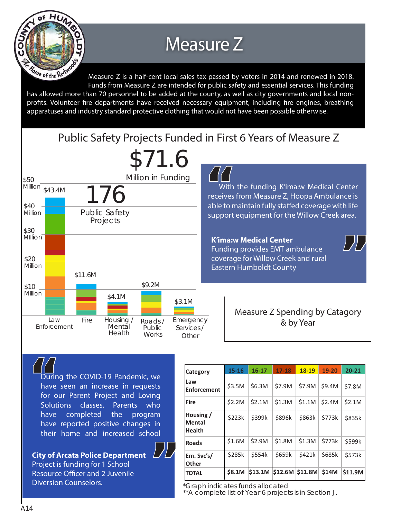

## Measure Z

Measure Z is a half-cent local sales tax passed by voters in 2014 and renewed in 2018. Funds from Measure Z are intended for public safety and essential services. This funding has allowed more than 70 personnel to be added at the county, as well as city governments and local nonprofits. Volunteer fire departments have received necessary equipment, including fire engines, breathing apparatuses and industry standard protective clothing that would not have been possible otherwise.





 $\begin{array}{c}\n\mathcal{L}\mathcal{L}\mathcal{L}\n\end{array}$   $\begin{array}{c}\n\text{has} \\
\text{for}\n\end{array}$ During the COVID-19 Pandemic, we have seen an increase in requests for our Parent Project and Loving Solutions classes. Parents who have completed the program have reported positive changes in their home and increased school

**" City of Arcata Police Department**  Project is funding for 1 School Resource Officer and 2 Juvenile Diversion Counselors.

| <b>Category</b>                             | $15 - 16$     | $16 - 17$ | $17 - 18$                            | 18-19  | 19-20  | $20 - 21$ |
|---------------------------------------------|---------------|-----------|--------------------------------------|--------|--------|-----------|
| lLaw<br><b>IEnforcement</b>                 | \$3.5M        | \$6.3M    | \$7.9M                               | \$7.9M | \$9.4M | \$7.8M    |
| <b>lFire</b>                                | \$2.2M        | \$2.1M    | \$1.3M                               | \$1.1M | \$2.4M | \$2.1M    |
| Housing /<br><b>Mental</b><br><b>Health</b> | \$223k        | \$399k    | \$896k                               | \$863k | \$773k | \$835k    |
| <b>Roads</b>                                | \$1.6M        | \$2.9M    | \$1.8M                               | \$1.3M | \$773k | \$599k    |
| Em. Svc's/<br>lOther                        | \$285k        | \$554k    | \$659k                               | \$421k | \$685k | \$573k    |
| <b>TOTAL</b>                                | <b>\$8.1M</b> |           | $ $13.1M$ $ $12.6M$ $ $11.8M$ $$14M$ |        |        | \$11.9M   |

*\*Graph indicates funds allocated*

*\*\*A complete list of Year 6 projects is in Section J.*